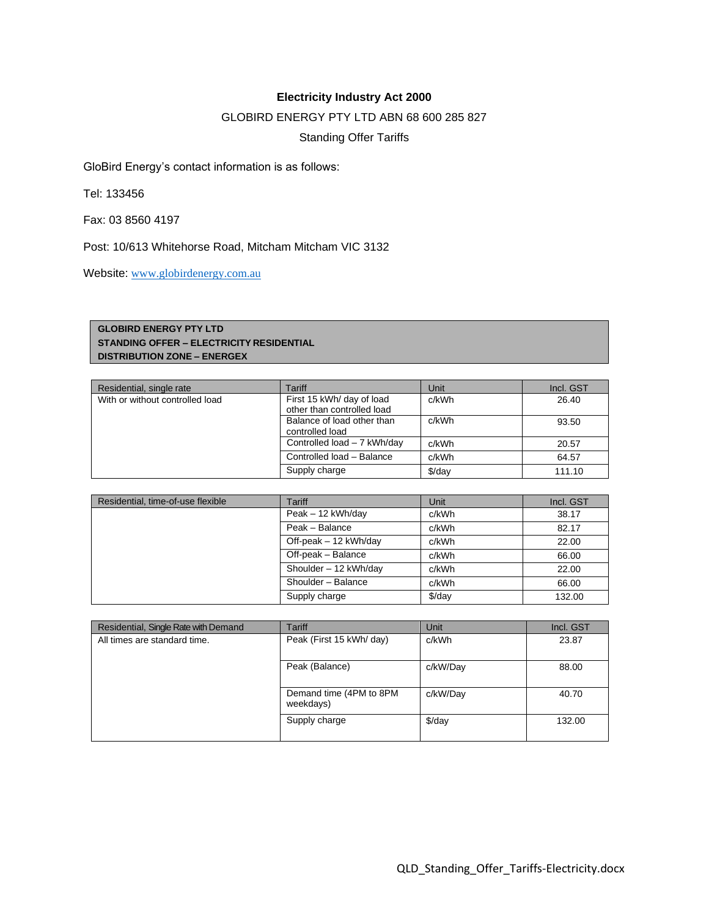## **Electricity Industry Act 2000**

## GLOBIRD ENERGY PTY LTD ABN 68 600 285 827

Standing Offer Tariffs

GloBird Energy's contact information is as follows:

Tel: 133456

Fax: 03 8560 4197

Post: 10/613 Whitehorse Road, Mitcham Mitcham VIC 3132

Website: [www.globirdenergy.com.au](http://www.globirdenergy.com.au/)

## **GLOBIRD ENERGY PTY LTD STANDING OFFER – ELECTRICITY RESIDENTIAL DISTRIBUTION ZONE – ENERGEX**

| Residential, single rate        | Tariff                                                  | Unit   | Incl. GST |
|---------------------------------|---------------------------------------------------------|--------|-----------|
| With or without controlled load | First 15 kWh/ day of load<br>other than controlled load | c/kWh  | 26.40     |
|                                 | Balance of load other than<br>controlled load           | c/kWh  | 93.50     |
|                                 | Controlled load - 7 kWh/day                             | c/kWh  | 20.57     |
|                                 | Controlled load - Balance                               | c/kWh  | 64.57     |
|                                 | Supply charge                                           | \$/day | 111.10    |

| Residential, time-of-use flexible | Tariff                | Unit   | Incl. GST |
|-----------------------------------|-----------------------|--------|-----------|
|                                   | Peak - 12 kWh/day     | c/kWh  | 38.17     |
|                                   | Peak - Balance        | c/kWh  | 82.17     |
|                                   | Off-peak - 12 kWh/day | c/kWh  | 22.00     |
|                                   | Off-peak - Balance    | c/kWh  | 66.00     |
|                                   | Shoulder - 12 kWh/day | c/kWh  | 22.00     |
|                                   | Shoulder - Balance    | c/kWh  | 66.00     |
|                                   | Supply charge         | \$/day | 132.00    |

| Residential, Single Rate with Demand | Tariff                               | Unit               | Incl. GST |
|--------------------------------------|--------------------------------------|--------------------|-----------|
| All times are standard time.         | Peak (First 15 kWh/ day)             | c/kWh              | 23.87     |
|                                      | Peak (Balance)                       | c/kW/Day           | 88.00     |
|                                      | Demand time (4PM to 8PM<br>weekdays) | c/kW/Day           | 40.70     |
|                                      | Supply charge                        | $\frac{1}{2}$ /day | 132.00    |